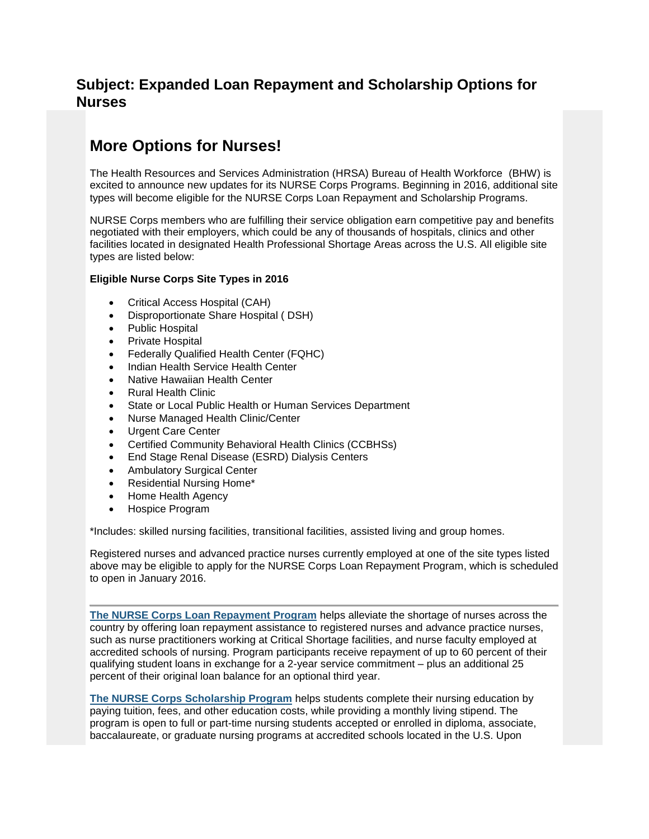# **Subject: Expanded Loan Repayment and Scholarship Options for Nurses**

# **More Options for Nurses!**

The Health Resources and Services Administration (HRSA) Bureau of Health Workforce (BHW) is excited to announce new updates for its NURSE Corps Programs. Beginning in 2016, additional site types will become eligible for the NURSE Corps Loan Repayment and Scholarship Programs.

NURSE Corps members who are fulfilling their service obligation earn competitive pay and benefits negotiated with their employers, which could be any of thousands of hospitals, clinics and other facilities located in designated Health Professional Shortage Areas across the U.S. All eligible site types are listed below:

## **Eligible Nurse Corps Site Types in 2016**

- Critical Access Hospital (CAH)
- Disproportionate Share Hospital ( DSH)
- Public Hospital
- Private Hospital
- Federally Qualified Health Center (FQHC)
- Indian Health Service Health Center
- Native Hawaiian Health Center
- Rural Health Clinic
- State or Local Public Health or Human Services Department
- Nurse Managed Health Clinic/Center
- Urgent Care Center
- Certified Community Behavioral Health Clinics (CCBHSs)
- End Stage Renal Disease (ESRD) Dialysis Centers
- Ambulatory Surgical Center
- Residential Nursing Home\*
- Home Health Agency
- Hospice Program

\*Includes: skilled nursing facilities, transitional facilities, assisted living and group homes.

Registered nurses and advanced practice nurses currently employed at one of the site types listed above may be eligible to apply for the NURSE Corps Loan Repayment Program, which is scheduled to open in January 2016.

**[The NURSE Corps Loan Repayment Program](http://links.govdelivery.com/track?type=click&enid=ZWFzPTEmbWFpbGluZ2lkPTIwMTUxMjExLjUyNjA3NTgxJm1lc3NhZ2VpZD1NREItUFJELUJVTC0yMDE1MTIxMS41MjYwNzU4MSZkYXRhYmFzZWlkPTEwMDEmc2VyaWFsPTE3NTQzOTQ2JmVtYWlsaWQ9Y29sc2Fyc0BnbWFpbC5jb20mdXNlcmlkPWNvbHNhcnNAZ21haWwuY29tJmZsPSZleHRyYT1NdWx0aXZhcmlhdGVJZD0mJiY=&&&100&&&http://www.hrsa.gov/loanscholarships/repayment/nursing/index.html?utm_medium=email&utm_source=govdelivery)** helps alleviate the shortage of nurses across the country by offering loan repayment assistance to registered nurses and advance practice nurses, such as nurse practitioners working at Critical Shortage facilities, and nurse faculty employed at accredited schools of nursing. Program participants receive repayment of up to 60 percent of their qualifying student loans in exchange for a 2-year service commitment – plus an additional 25 percent of their original loan balance for an optional third year.

**[The NURSE Corps Scholarship Program](http://links.govdelivery.com/track?type=click&enid=ZWFzPTEmbWFpbGluZ2lkPTIwMTUxMjExLjUyNjA3NTgxJm1lc3NhZ2VpZD1NREItUFJELUJVTC0yMDE1MTIxMS41MjYwNzU4MSZkYXRhYmFzZWlkPTEwMDEmc2VyaWFsPTE3NTQzOTQ2JmVtYWlsaWQ9Y29sc2Fyc0BnbWFpbC5jb20mdXNlcmlkPWNvbHNhcnNAZ21haWwuY29tJmZsPSZleHRyYT1NdWx0aXZhcmlhdGVJZD0mJiY=&&&101&&&http://www.hrsa.gov/loanscholarships/scholarships/Nursing/index.html?utm_medium=email&utm_source=govdelivery)** helps students complete their nursing education by paying tuition, fees, and other education costs, while providing a monthly living stipend. The program is open to full or part-time nursing students accepted or enrolled in diploma, associate, baccalaureate, or graduate nursing programs at accredited schools located in the U.S. Upon